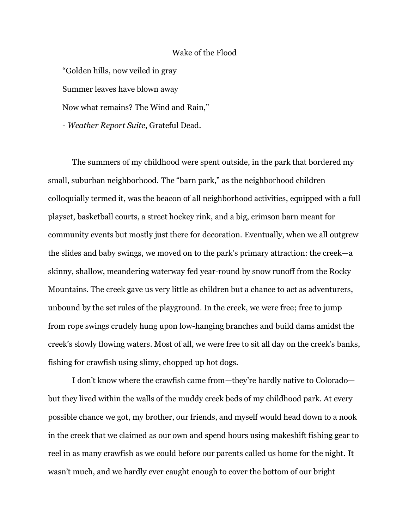## Wake of the Flood

"Golden hills, now veiled in gray

Summer leaves have blown away

Now what remains? The Wind and Rain,"

- *Weather Report Suite*, Grateful Dead.

The summers of my childhood were spent outside, in the park that bordered my small, suburban neighborhood. The "barn park," as the neighborhood children colloquially termed it, was the beacon of all neighborhood activities, equipped with a full playset, basketball courts, a street hockey rink, and a big, crimson barn meant for community events but mostly just there for decoration. Eventually, when we all outgrew the slides and baby swings, we moved on to the park's primary attraction: the creek—a skinny, shallow, meandering waterway fed year-round by snow runoff from the Rocky Mountains. The creek gave us very little as children but a chance to act as adventurers, unbound by the set rules of the playground. In the creek, we were free; free to jump from rope swings crudely hung upon low-hanging branches and build dams amidst the creek's slowly flowing waters. Most of all, we were free to sit all day on the creek's banks, fishing for crawfish using slimy, chopped up hot dogs.

I don't know where the crawfish came from—they're hardly native to Colorado but they lived within the walls of the muddy creek beds of my childhood park. At every possible chance we got, my brother, our friends, and myself would head down to a nook in the creek that we claimed as our own and spend hours using makeshift fishing gear to reel in as many crawfish as we could before our parents called us home for the night. It wasn't much, and we hardly ever caught enough to cover the bottom of our bright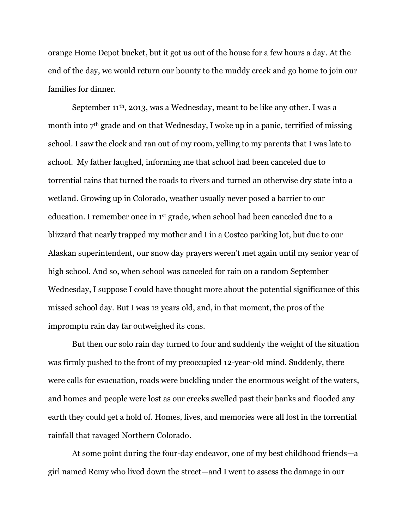orange Home Depot bucket, but it got us out of the house for a few hours a day. At the end of the day, we would return our bounty to the muddy creek and go home to join our families for dinner.

September 11th, 2013, was a Wednesday, meant to be like any other. I was a month into  $7<sup>th</sup>$  grade and on that Wednesday, I woke up in a panic, terrified of missing school. I saw the clock and ran out of my room, yelling to my parents that I was late to school. My father laughed, informing me that school had been canceled due to torrential rains that turned the roads to rivers and turned an otherwise dry state into a wetland. Growing up in Colorado, weather usually never posed a barrier to our education. I remember once in 1 st grade, when school had been canceled due to a blizzard that nearly trapped my mother and I in a Costco parking lot, but due to our Alaskan superintendent, our snow day prayers weren't met again until my senior year of high school. And so, when school was canceled for rain on a random September Wednesday, I suppose I could have thought more about the potential significance of this missed school day. But I was 12 years old, and, in that moment, the pros of the impromptu rain day far outweighed its cons.

But then our solo rain day turned to four and suddenly the weight of the situation was firmly pushed to the front of my preoccupied 12-year-old mind. Suddenly, there were calls for evacuation, roads were buckling under the enormous weight of the waters, and homes and people were lost as our creeks swelled past their banks and flooded any earth they could get a hold of. Homes, lives, and memories were all lost in the torrential rainfall that ravaged Northern Colorado.

At some point during the four-day endeavor, one of my best childhood friends—a girl named Remy who lived down the street—and I went to assess the damage in our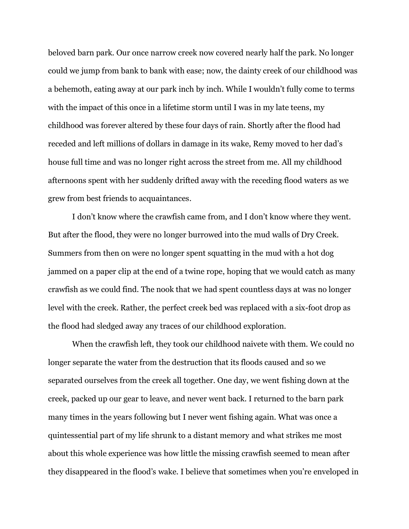beloved barn park. Our once narrow creek now covered nearly half the park. No longer could we jump from bank to bank with ease; now, the dainty creek of our childhood was a behemoth, eating away at our park inch by inch. While I wouldn't fully come to terms with the impact of this once in a lifetime storm until I was in my late teens, my childhood was forever altered by these four days of rain. Shortly after the flood had receded and left millions of dollars in damage in its wake, Remy moved to her dad's house full time and was no longer right across the street from me. All my childhood afternoons spent with her suddenly drifted away with the receding flood waters as we grew from best friends to acquaintances.

I don't know where the crawfish came from, and I don't know where they went. But after the flood, they were no longer burrowed into the mud walls of Dry Creek. Summers from then on were no longer spent squatting in the mud with a hot dog jammed on a paper clip at the end of a twine rope, hoping that we would catch as many crawfish as we could find. The nook that we had spent countless days at was no longer level with the creek. Rather, the perfect creek bed was replaced with a six-foot drop as the flood had sledged away any traces of our childhood exploration.

When the crawfish left, they took our childhood naivete with them. We could no longer separate the water from the destruction that its floods caused and so we separated ourselves from the creek all together. One day, we went fishing down at the creek, packed up our gear to leave, and never went back. I returned to the barn park many times in the years following but I never went fishing again. What was once a quintessential part of my life shrunk to a distant memory and what strikes me most about this whole experience was how little the missing crawfish seemed to mean after they disappeared in the flood's wake. I believe that sometimes when you're enveloped in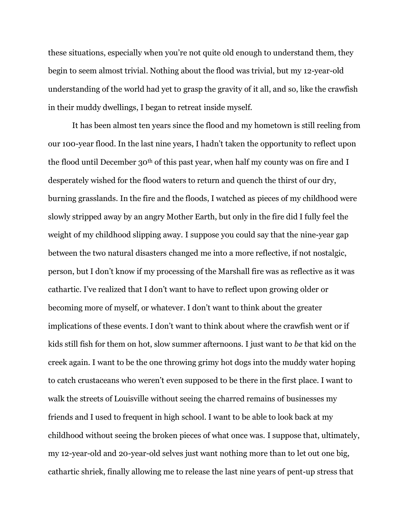these situations, especially when you're not quite old enough to understand them, they begin to seem almost trivial. Nothing about the flood was trivial, but my 12-year-old understanding of the world had yet to grasp the gravity of it all, and so, like the crawfish in their muddy dwellings, I began to retreat inside myself.

It has been almost ten years since the flood and my hometown is still reeling from our 100-year flood. In the last nine years, I hadn't taken the opportunity to reflect upon the flood until December 30th of this past year, when half my county was on fire and I desperately wished for the flood waters to return and quench the thirst of our dry, burning grasslands. In the fire and the floods, I watched as pieces of my childhood were slowly stripped away by an angry Mother Earth, but only in the fire did I fully feel the weight of my childhood slipping away. I suppose you could say that the nine-year gap between the two natural disasters changed me into a more reflective, if not nostalgic, person, but I don't know if my processing of the Marshall fire was as reflective as it was cathartic. I've realized that I don't want to have to reflect upon growing older or becoming more of myself, or whatever. I don't want to think about the greater implications of these events. I don't want to think about where the crawfish went or if kids still fish for them on hot, slow summer afternoons. I just want to *be* that kid on the creek again. I want to be the one throwing grimy hot dogs into the muddy water hoping to catch crustaceans who weren't even supposed to be there in the first place. I want to walk the streets of Louisville without seeing the charred remains of businesses my friends and I used to frequent in high school. I want to be able to look back at my childhood without seeing the broken pieces of what once was. I suppose that, ultimately, my 12-year-old and 20-year-old selves just want nothing more than to let out one big, cathartic shriek, finally allowing me to release the last nine years of pent-up stress that